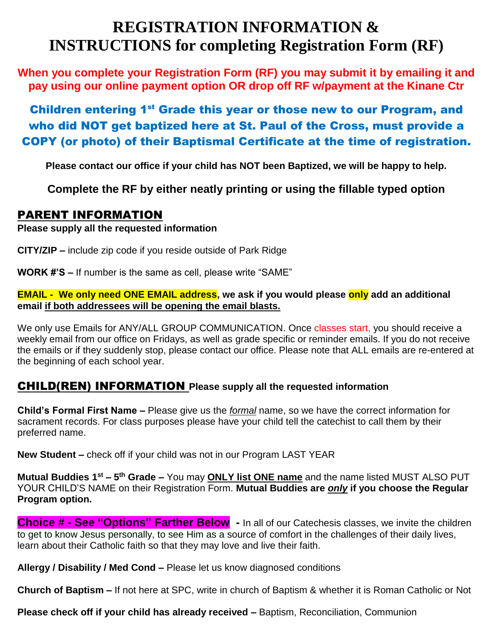## **REGISTRATION INFORMATION & INSTRUCTIONS for completing Registration Form (RF)**

**When you complete your Registration Form (RF) you may submit it by emailing it and pay using our online payment option OR drop off RF w/payment at the Kinane Ctr** 

### Children entering 1<sup>st</sup> Grade this year or those new to our Program, and who did NOT get baptized here at St. Paul of the Cross, must provide a COPY (or photo) of their Baptismal Certificate at the time of registration.

**Please contact our office if your child has NOT been Baptized, we will be happy to help.**

**Complete the RF by either neatly printing or using the fillable typed option**

#### PARENT INFORMATION

**Please supply all the requested information** 

**CITY/ZIP –** include zip code if you reside outside of Park Ridge

**WORK #'S –** If number is the same as cell, please write "SAME"

#### **EMAIL - We only need ONE EMAIL address, we ask if you would please only add an additional email if both addressees will be opening the email blasts.**

We only use Emails for ANY/ALL GROUP COMMUNICATION. Once classes start, you should receive a weekly email from our office on Fridays, as well as grade specific or reminder emails. If you do not receive the emails or if they suddenly stop, please contact our office. Please note that ALL emails are re-entered at the beginning of each school year.

#### CHILD(REN) INFORMATION **Please supply all the requested information**

**Child's Formal First Name –** Please give us the *formal* name, so we have the correct information for sacrament records. For class purposes please have your child tell the catechist to call them by their preferred name.

**New Student –** check off if your child was not in our Program LAST YEAR

**Mutual Buddies 1<sup>st</sup> – 5<sup>th</sup> Grade –** You may **ONLY list ONE name** and the name listed MUST ALSO PUT YOUR CHILD'S NAME on their Registration Form. **Mutual Buddies are** *only* **if you choose the Regular Program option.** 

**Choice # - See "Options" Farther Below -** In all of our Catechesis classes, we invite the children to get to know Jesus personally, to see Him as a source of comfort in the challenges of their daily lives, learn about their Catholic faith so that they may love and live their faith.

**Allergy / Disability / Med Cond –** Please let us know diagnosed conditions

**Church of Baptism –** If not here at SPC, write in church of Baptism & whether it is Roman Catholic or Not

**Please check off if your child has already received –** Baptism, Reconciliation, Communion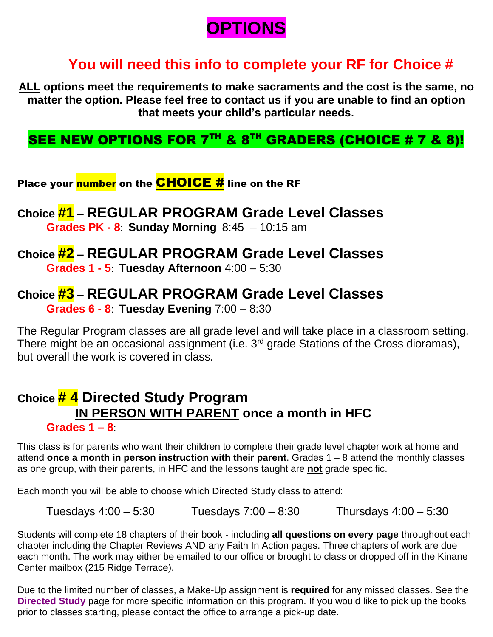# **OPTIONS**

## **You will need this info to complete your RF for Choice #**

**ALL options meet the requirements to make sacraments and the cost is the same, no matter the option. Please feel free to contact us if you are unable to find an option that meets your child's particular needs.** 

## SEE NEW OPTIONS FOR  $7<sup>TH</sup>$  &  $8<sup>TH</sup>$  GRADERS (CHOICE # 7 & 8)!

Place your <mark>number</mark> on the <mark>CHOICE #</mark> line on the RF

**Choice #1 – REGULAR PROGRAM Grade Level Classes Grades PK - 8**: **Sunday Morning** 8:45 – 10:15 am

### **Choice #2 – REGULAR PROGRAM Grade Level Classes**

**Grades 1 - 5**: **Tuesday Afternoon** 4:00 – 5:30

### **Choice #3 – REGULAR PROGRAM Grade Level Classes Grades 6 - 8**: **Tuesday Evening** 7:00 – 8:30

The Regular Program classes are all grade level and will take place in a classroom setting. There might be an occasional assignment (i.e. 3<sup>rd</sup> grade Stations of the Cross dioramas), but overall the work is covered in class.

#### **Choice # 4 Directed Study Program IN PERSON WITH PARENT once a month in HFC Grades 1 – 8**:

This class is for parents who want their children to complete their grade level chapter work at home and attend **once a month in person instruction with their parent**. Grades 1 – 8 attend the monthly classes as one group, with their parents, in HFC and the lessons taught are **not** grade specific.

Each month you will be able to choose which Directed Study class to attend:

Tuesdays  $4:00 - 5:30$  Tuesdays  $7:00 - 8:30$  Thursdays  $4:00 - 5:30$ 

Students will complete 18 chapters of their book - including **all questions on every page** throughout each chapter including the Chapter Reviews AND any Faith In Action pages. Three chapters of work are due each month. The work may either be emailed to our office or brought to class or dropped off in the Kinane Center mailbox (215 Ridge Terrace).

Due to the limited number of classes, a Make-Up assignment is **required** for any missed classes. See the **Directed Study** page for more specific information on this program. If you would like to pick up the books prior to classes starting, please contact the office to arrange a pick-up date.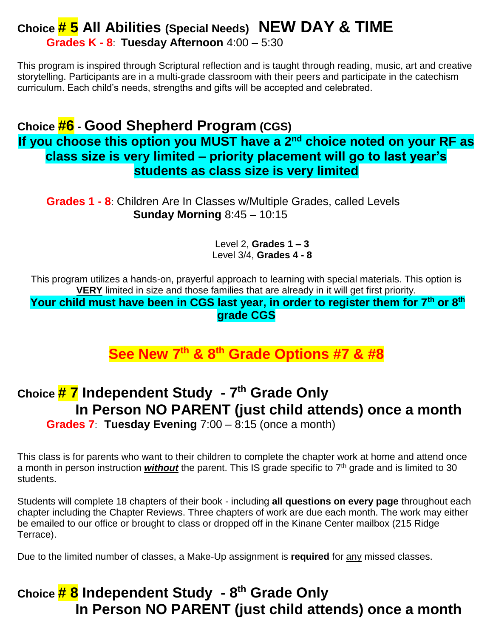# **Choice # 5 All Abilities (Special Needs) NEW DAY & TIME**

**Grades K - 8**: **Tuesday Afternoon** 4:00 – 5:30

This program is inspired through Scriptural reflection and is taught through reading, music, art and creative storytelling. Participants are in a multi-grade classroom with their peers and participate in the catechism curriculum. Each child's needs, strengths and gifts will be accepted and celebrated.

## **Choice #6 - Good Shepherd Program (CGS)**

**If you choose this option you MUST have a 2nd choice noted on your RF as class size is very limited – priority placement will go to last year's students as class size is very limited**

**Grades 1 - 8**: Children Are In Classes w/Multiple Grades, called Levels **Sunday Morning** 8:45 – 10:15

> Level 2, **Grades 1 – 3** Level 3/4, **Grades 4 - 8**

This program utilizes a hands-on, prayerful approach to learning with special materials. This option is **VERY** limited in size and those families that are already in it will get first priority.

**Your child must have been in CGS last year, in order to register them for 7th or 8th grade CGS**

**See New 7 th & 8th Grade Options #7 & #8**

## **Choice # 7 Independent Study - 7 th Grade Only In Person NO PARENT (just child attends) once a month**

**Grades 7**: **Tuesday Evening** 7:00 – 8:15 (once a month)

This class is for parents who want to their children to complete the chapter work at home and attend once a month in person instruction **without** the parent. This IS grade specific to 7<sup>th</sup> grade and is limited to 30 students.

Students will complete 18 chapters of their book - including **all questions on every page** throughout each chapter including the Chapter Reviews. Three chapters of work are due each month. The work may either be emailed to our office or brought to class or dropped off in the Kinane Center mailbox (215 Ridge Terrace).

Due to the limited number of classes, a Make-Up assignment is **required** for any missed classes.

## **Choice # 8 Independent Study - 8 th Grade Only In Person NO PARENT (just child attends) once a month**